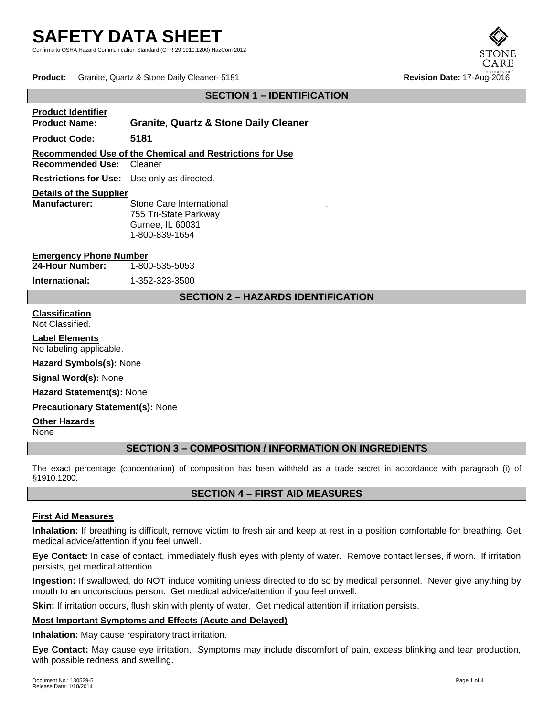Confirms to OSHA Hazard Communication Standard (CFR 29 1910.1200) HazCom 2012

**Product:** Granite, Quartz & Stone Daily Cleaner- 5181 **Revision Date:** 17-Aug-2016

### **SECTION 1 – IDENTIFICATION**

#### **Product Identifier**

**Product Name: Granite, Quartz & Stone Daily Cleaner**

**Product Code: 5181**

**Recommended Use of the Chemical and Restrictions for Use**

**Recommended Use:** Cleaner

**Restrictions for Use:** Use only as directed.

# **Details of the Supplier**

**Stone Care International** 755 Tri-State Parkway Gurnee, IL 60031 1-800-839-1654

**Emergency Phone Number<br>24-Hour Number:** 1-800-535-5053 **24-Hour Number:** 

**International:** 1-352-323-3500

# **SECTION 2 – HAZARDS IDENTIFICATION**

.

#### **Classification** Not Classified.

**Label Elements**

No labeling applicable.

**Hazard Symbols(s):** None

**Signal Word(s):** None

**Hazard Statement(s):** None

**Precautionary Statement(s):** None

#### **Other Hazards**

None

# **SECTION 3 – COMPOSITION / INFORMATION ON INGREDIENTS**

The exact percentage (concentration) of composition has been withheld as a trade secret in accordance with paragraph (i) of §1910.1200.

# **SECTION 4 – FIRST AID MEASURES**

#### **First Aid Measures**

**Inhalation:** If breathing is difficult, remove victim to fresh air and keep at rest in a position comfortable for breathing. Get medical advice/attention if you feel unwell.

**Eye Contact:** In case of contact, immediately flush eyes with plenty of water. Remove contact lenses, if worn. If irritation persists, get medical attention.

**Ingestion:** If swallowed, do NOT induce vomiting unless directed to do so by medical personnel. Never give anything by mouth to an unconscious person. Get medical advice/attention if you feel unwell.

**Skin:** If irritation occurs, flush skin with plenty of water. Get medical attention if irritation persists.

### **Most Important Symptoms and Effects (Acute and Delayed)**

**Inhalation:** May cause respiratory tract irritation.

**Eye Contact:** May cause eye irritation. Symptoms may include discomfort of pain, excess blinking and tear production, with possible redness and swelling.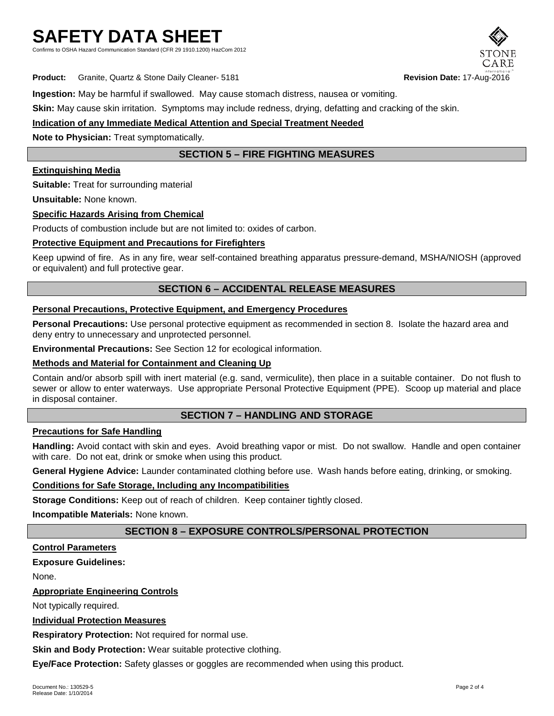Confirms to OSHA Hazard Communication Standard (CFR 29 1910.1200) HazCom 2012



**Product:** Granite, Quartz & Stone Daily Cleaner- 5181 **Revision Date:** 17-Aug-2016

**Ingestion:** May be harmful if swallowed. May cause stomach distress, nausea or vomiting.

**Skin:** May cause skin irritation. Symptoms may include redness, drying, defatting and cracking of the skin.

# **Indication of any Immediate Medical Attention and Special Treatment Needed**

**Note to Physician:** Treat symptomatically.

# **SECTION 5 – FIRE FIGHTING MEASURES**

### **Extinguishing Media**

**Suitable:** Treat for surrounding material

**Unsuitable:** None known.

### **Specific Hazards Arising from Chemical**

Products of combustion include but are not limited to: oxides of carbon.

### **Protective Equipment and Precautions for Firefighters**

Keep upwind of fire. As in any fire, wear self-contained breathing apparatus pressure-demand, MSHA/NIOSH (approved or equivalent) and full protective gear.

# **SECTION 6 – ACCIDENTAL RELEASE MEASURES**

#### **Personal Precautions, Protective Equipment, and Emergency Procedures**

**Personal Precautions:** Use personal protective equipment as recommended in section 8. Isolate the hazard area and deny entry to unnecessary and unprotected personnel.

**Environmental Precautions:** See Section 12 for ecological information.

### **Methods and Material for Containment and Cleaning Up**

Contain and/or absorb spill with inert material (e.g. sand, vermiculite), then place in a suitable container. Do not flush to sewer or allow to enter waterways. Use appropriate Personal Protective Equipment (PPE). Scoop up material and place in disposal container.

# **SECTION 7 – HANDLING AND STORAGE**

### **Precautions for Safe Handling**

**Handling:** Avoid contact with skin and eyes. Avoid breathing vapor or mist. Do not swallow. Handle and open container with care. Do not eat, drink or smoke when using this product.

**General Hygiene Advice:** Launder contaminated clothing before use. Wash hands before eating, drinking, or smoking.

#### **Conditions for Safe Storage, Including any Incompatibilities**

**Storage Conditions:** Keep out of reach of children. Keep container tightly closed.

**Incompatible Materials:** None known.

# **SECTION 8 – EXPOSURE CONTROLS/PERSONAL PROTECTION**

#### **Control Parameters**

# **Exposure Guidelines:**

None.

# **Appropriate Engineering Controls**

Not typically required.

#### **Individual Protection Measures**

**Respiratory Protection:** Not required for normal use.

**Skin and Body Protection:** Wear suitable protective clothing.

**Eye/Face Protection:** Safety glasses or goggles are recommended when using this product.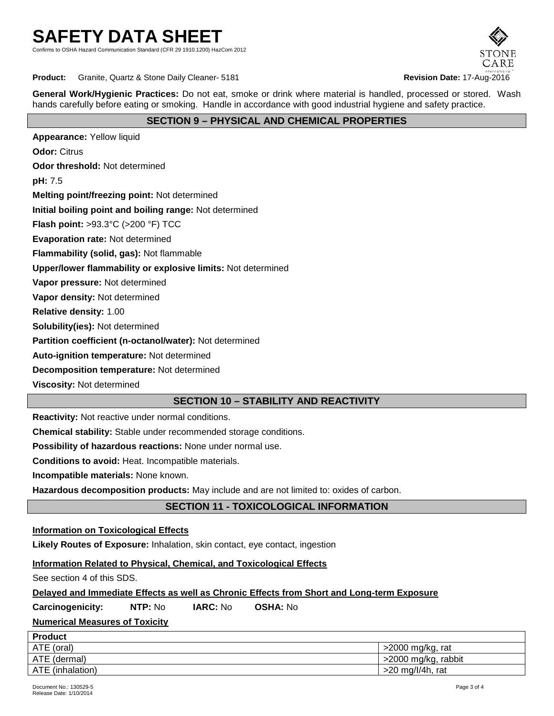Confirms to OSHA Hazard Communication Standard (CFR 29 1910.1200) HazCom 2012



**Product:** Granite, Quartz & Stone Daily Cleaner- 5181 **Revision Date: 17-Aug-2016 Revision Date: 17-Aug-2016** 

**General Work/Hygienic Practices:** Do not eat, smoke or drink where material is handled, processed or stored. Wash hands carefully before eating or smoking. Handle in accordance with good industrial hygiene and safety practice.

# **SECTION 9 – PHYSICAL AND CHEMICAL PROPERTIES**

**Appearance:** Yellow liquid **Odor:** Citrus **Odor threshold:** Not determined **pH:** 7.5 **Melting point/freezing point:** Not determined **Initial boiling point and boiling range:** Not determined **Flash point:** >93.3°C (>200 °F) TCC **Evaporation rate:** Not determined **Flammability (solid, gas):** Not flammable **Upper/lower flammability or explosive limits:** Not determined **Vapor pressure:** Not determined **Vapor density:** Not determined **Relative density:** 1.00 **Solubility(ies):** Not determined **Partition coefficient (n-octanol/water):** Not determined **Auto-ignition temperature:** Not determined

**Decomposition temperature:** Not determined

**Viscosity:** Not determined

# **SECTION 10 – STABILITY AND REACTIVITY**

**Reactivity:** Not reactive under normal conditions.

**Chemical stability:** Stable under recommended storage conditions.

**Possibility of hazardous reactions:** None under normal use.

**Conditions to avoid:** Heat. Incompatible materials.

**Incompatible materials:** None known.

**Hazardous decomposition products:** May include and are not limited to: oxides of carbon.

# **SECTION 11 - TOXICOLOGICAL INFORMATION**

#### **Information on Toxicological Effects**

**Likely Routes of Exposure:** Inhalation, skin contact, eye contact, ingestion

#### **Information Related to Physical, Chemical, and Toxicological Effects**

See section 4 of this SDS.

#### **Delayed and Immediate Effects as well as Chronic Effects from Short and Long-term Exposure**

**Carcinogenicity: NTP:** No **IARC:** No **OSHA:** No

# **Numerical Measures of Toxicity**

| <b>Product</b>   |                     |
|------------------|---------------------|
| ATE (oral)       | >2000 mg/kg, rat    |
| ATE (dermal)     | >2000 mg/kg, rabbit |
| ATE (inhalation) | $>20$ mg/l/4h, rat  |